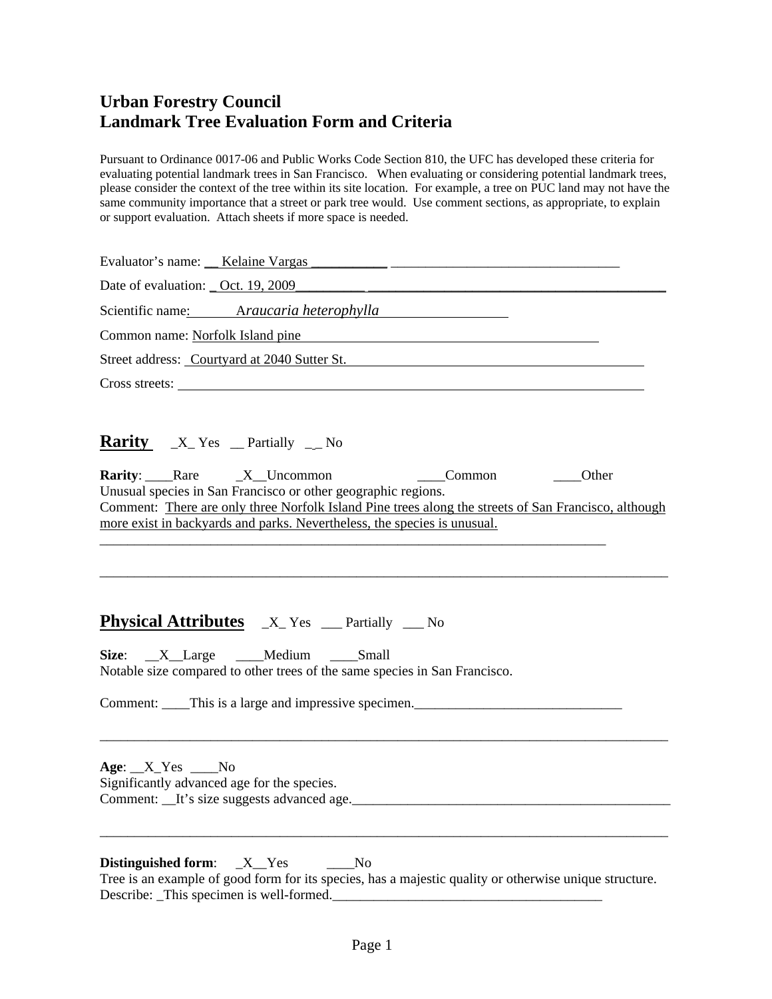Pursuant to Ordinance 0017-06 and Public Works Code Section 810, the UFC has developed these criteria for evaluating potential landmark trees in San Francisco. When evaluating or considering potential landmark trees, please consider the context of the tree within its site location. For example, a tree on PUC land may not have the same community importance that a street or park tree would. Use comment sections, as appropriate, to explain or support evaluation. Attach sheets if more space is needed.

| Date of evaluation: <u>Oct. 19, 2009</u>                                                                                                                                                                                                                                                                                                                      |
|---------------------------------------------------------------------------------------------------------------------------------------------------------------------------------------------------------------------------------------------------------------------------------------------------------------------------------------------------------------|
| Scientific name: Araucaria heterophylla                                                                                                                                                                                                                                                                                                                       |
| Common name: Norfolk Island pine<br><u> 1989 - Jan Samuel Barbara, martin di</u>                                                                                                                                                                                                                                                                              |
| Street address: Courtyard at 2040 Sutter St.                                                                                                                                                                                                                                                                                                                  |
|                                                                                                                                                                                                                                                                                                                                                               |
| <b>Rarity</b> $X_Y$ Yes _ Partially _ No<br><b>Rarity:</b> Rare X Uncommon<br><b>Common</b><br>____Other<br>Unusual species in San Francisco or other geographic regions.<br>Comment: There are only three Norfolk Island Pine trees along the streets of San Francisco, although<br>more exist in backyards and parks. Nevertheless, the species is unusual. |
| <b>Physical Attributes</b> X Yes _ Partially _ No<br>Size: X_Large __Medium __Small<br>Notable size compared to other trees of the same species in San Francisco.<br>Comment: This is a large and impressive specimen.<br>$Age: X_Yes __No$                                                                                                                   |
| Significantly advanced age for the species.                                                                                                                                                                                                                                                                                                                   |
| Distinguished form: $X_Y$ Yes No.<br>the contract of the contract of the contract of the contract of the contract of the contract of the contract of                                                                                                                                                                                                          |

Tree is an example of good form for its species, has a majestic quality or otherwise unique structure. Describe: \_This specimen is well-formed.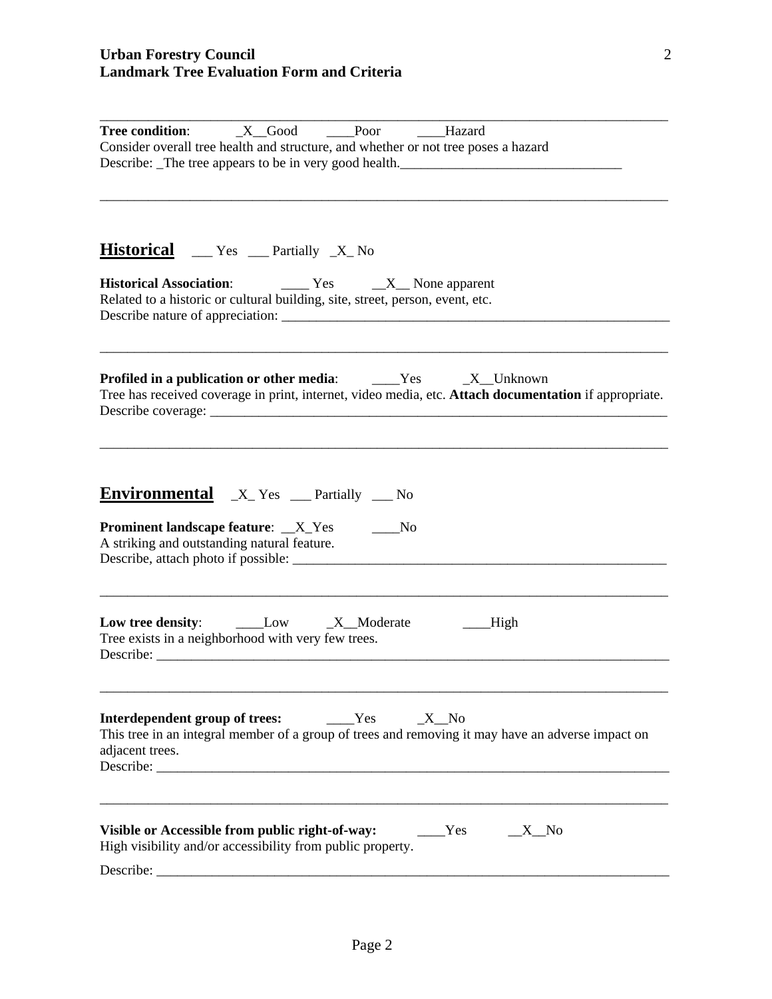| $X$ <sub>C</sub> Good<br><b>Tree condition:</b><br>Poor<br>Hazard<br>Consider overall tree health and structure, and whether or not tree poses a hazard<br>Describe: The tree appears to be in very good health. |
|------------------------------------------------------------------------------------------------------------------------------------------------------------------------------------------------------------------|
| <b>Historical</b> ___ Yes ___ Partially _X_ No                                                                                                                                                                   |
| $\frac{1}{1}$ Yes $\frac{1}{1}$ None apparent<br><b>Historical Association:</b><br>Related to a historic or cultural building, site, street, person, event, etc.                                                 |
| <b>Profiled in a publication or other media:</b> ______Yes ______X__Unknown<br>Tree has received coverage in print, internet, video media, etc. Attach documentation if appropriate.                             |
| <b>Environmental</b> X Yes <u>earnically</u> No<br><b>Prominent landscape feature:</b> _X_Yes<br>No.<br>A striking and outstanding natural feature.                                                              |
| _High<br>Tree exists in a neighborhood with very few trees.                                                                                                                                                      |
| Interdependent group of trees:<br>Yes<br>$\_X$ No<br>This tree in an integral member of a group of trees and removing it may have an adverse impact on<br>adjacent trees.                                        |
| Visible or Accessible from public right-of-way:<br>Yes<br>$\_X$ <sub><math>\_No</math></sub><br>High visibility and/or accessibility from public property.                                                       |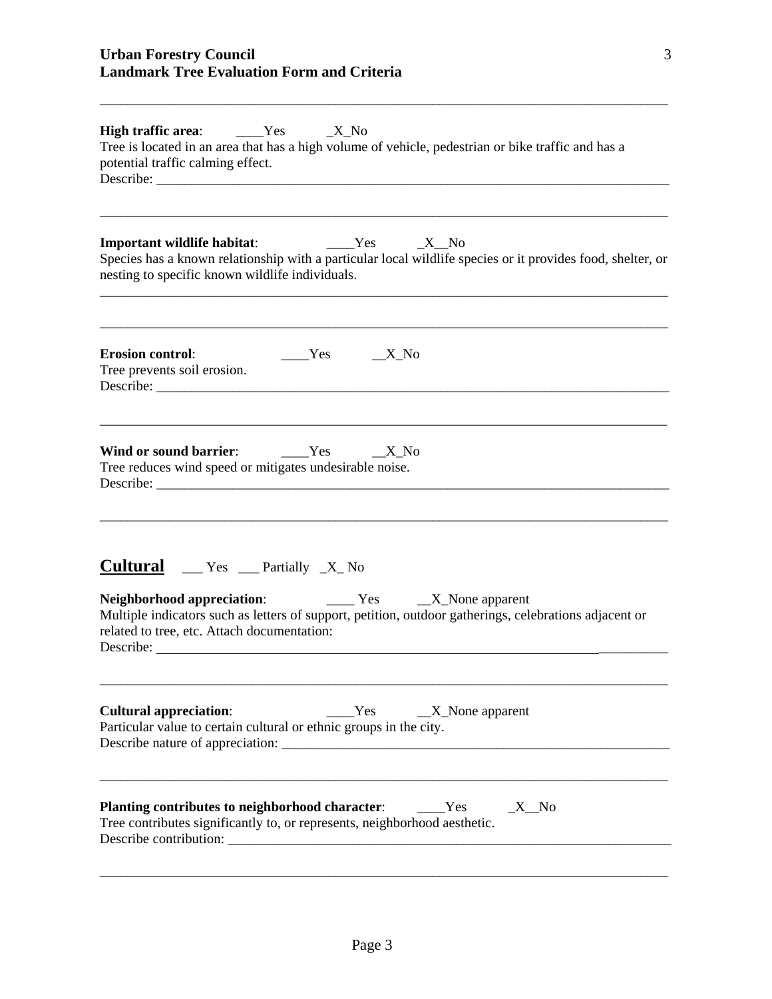| <b>High traffic area:</b> _____Yes<br>$X_N$<br>Tree is located in an area that has a high volume of vehicle, pedestrian or bike traffic and has a<br>potential traffic calming effect.                                                                                                                                |
|-----------------------------------------------------------------------------------------------------------------------------------------------------------------------------------------------------------------------------------------------------------------------------------------------------------------------|
| _____Yes ______X__No<br><b>Important wildlife habitat:</b><br>Species has a known relationship with a particular local wildlife species or it provides food, shelter, or<br>nesting to specific known wildlife individuals.                                                                                           |
| <b>Erosion control:</b><br>$Yes$ X_No<br>Tree prevents soil erosion.                                                                                                                                                                                                                                                  |
| Wind or sound barrier: $Z_N$ = $X_N$ = $X_N$ = $X_N$ = $X_N$ = $X_N$ = $X_N$ = $X_N$ = $X_N$ = $X_N$ = $X_N$ = $X_N$ = $X_N$ = $X_N$ = $X_N$ = $X_N$ = $X_N$ = $X_N$ = $X_N$ = $X_N$ = $X_N$ = $X_N$ = $X_N$ = $X_N$ = $X_N$ = $X_N$ = $X_N$ = $X_N$ = $X$<br>Tree reduces wind speed or mitigates undesirable noise. |
| <b>Cultural</b> __ Yes __ Partially _X_ No<br>Neighborhood appreciation:<br>Tes _______ X________ None apparent<br>Multiple indicators such as letters of support, petition, outdoor gatherings, celebrations adjacent or<br>related to tree, etc. Attach documentation:<br>Describe:                                 |
| <b>Cultural appreciation:</b><br>Yes<br>$\_X$ None apparent<br>Particular value to certain cultural or ethnic groups in the city.                                                                                                                                                                                     |
| Planting contributes to neighborhood character:<br>Yes<br>$\_X$ No<br>Tree contributes significantly to, or represents, neighborhood aesthetic.<br>Describe contribution:                                                                                                                                             |

\_\_\_\_\_\_\_\_\_\_\_\_\_\_\_\_\_\_\_\_\_\_\_\_\_\_\_\_\_\_\_\_\_\_\_\_\_\_\_\_\_\_\_\_\_\_\_\_\_\_\_\_\_\_\_\_\_\_\_\_\_\_\_\_\_\_\_\_\_\_\_\_\_\_\_\_\_\_\_\_\_\_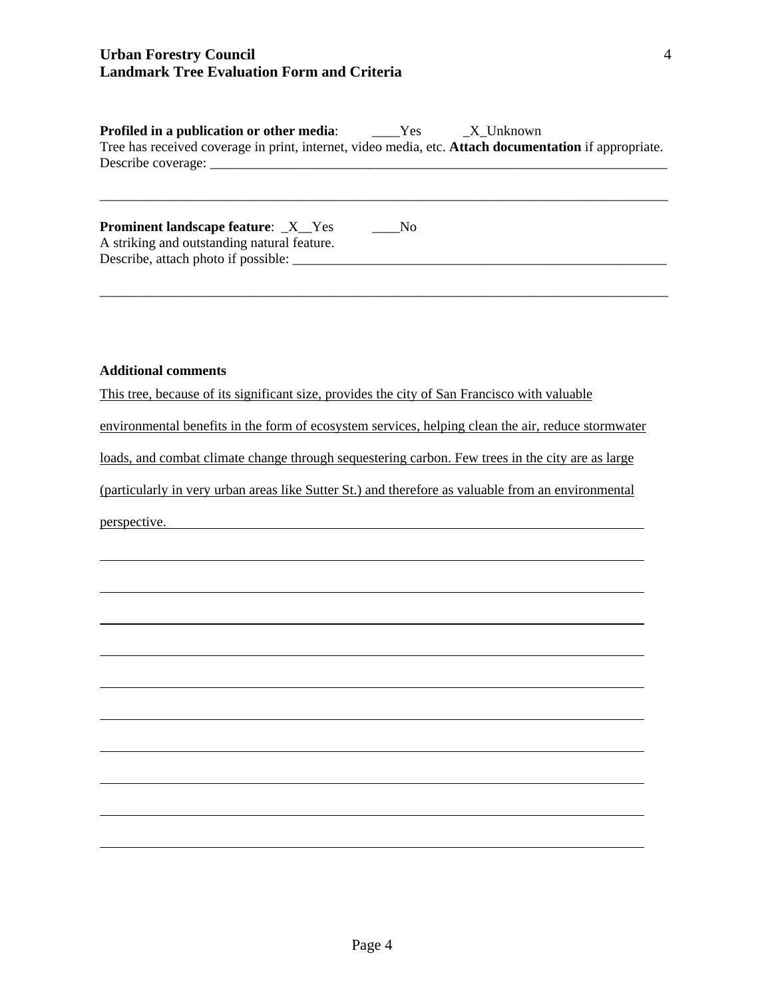| Profiled in a publication or other media:                                                             | Yes | X Unknown |  |
|-------------------------------------------------------------------------------------------------------|-----|-----------|--|
| Tree has received coverage in print, internet, video media, etc. Attach documentation if appropriate. |     |           |  |
| Describe coverage:                                                                                    |     |           |  |

| <b>Prominent landscape feature:</b> X Yes   | No. |  |
|---------------------------------------------|-----|--|
| A striking and outstanding natural feature. |     |  |
| Describe, attach photo if possible:         |     |  |

\_\_\_\_\_\_\_\_\_\_\_\_\_\_\_\_\_\_\_\_\_\_\_\_\_\_\_\_\_\_\_\_\_\_\_\_\_\_\_\_\_\_\_\_\_\_\_\_\_\_\_\_\_\_\_\_\_\_\_\_\_\_\_\_\_\_\_\_\_\_\_\_\_\_\_\_\_\_\_\_\_\_

\_\_\_\_\_\_\_\_\_\_\_\_\_\_\_\_\_\_\_\_\_\_\_\_\_\_\_\_\_\_\_\_\_\_\_\_\_\_\_\_\_\_\_\_\_\_\_\_\_\_\_\_\_\_\_\_\_\_\_\_\_\_\_\_\_\_\_\_\_\_\_\_\_\_\_\_\_\_\_\_\_\_

#### **Additional comments**

This tree, because of its significant size, provides the city of San Francisco with valuable

environmental benefits in the form of ecosystem services, helping clean the air, reduce stormwater

loads, and combat climate change through sequestering carbon. Few trees in the city are as large

(particularly in very urban areas like Sutter St.) and therefore as valuable from an environmental

perspective.

l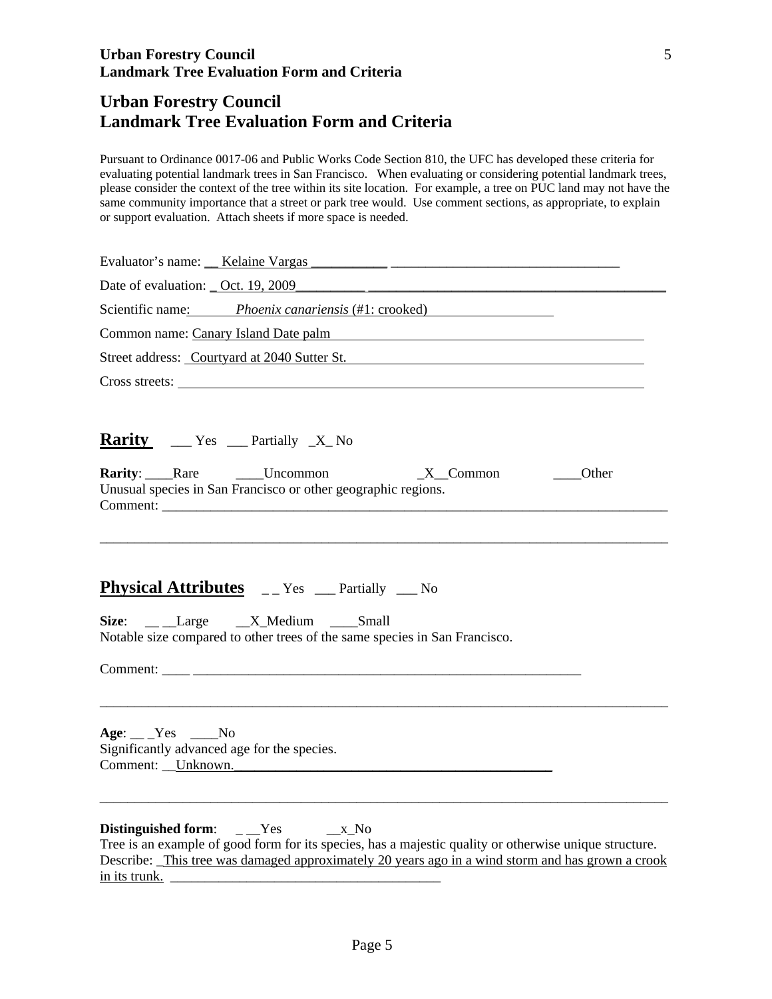## **Urban Forestry Council Landmark Tree Evaluation Form and Criteria**

Pursuant to Ordinance 0017-06 and Public Works Code Section 810, the UFC has developed these criteria for evaluating potential landmark trees in San Francisco. When evaluating or considering potential landmark trees, please consider the context of the tree within its site location. For example, a tree on PUC land may not have the same community importance that a street or park tree would. Use comment sections, as appropriate, to explain or support evaluation. Attach sheets if more space is needed.

| Date of evaluation: $\_\text{Oct. } 19,2009$                                                                                                                                                                                                                                         |
|--------------------------------------------------------------------------------------------------------------------------------------------------------------------------------------------------------------------------------------------------------------------------------------|
| Scientific name: Phoenix canariensis (#1: crooked)                                                                                                                                                                                                                                   |
| Common name: Canary Island Date palm                                                                                                                                                                                                                                                 |
| Street address: Courtyard at 2040 Sutter St.                                                                                                                                                                                                                                         |
| Cross streets: Universe of the contract of the contract of the contract of the contract of the contract of the contract of the contract of the contract of the contract of the contract of the contract of the contract of the                                                       |
| Rarity ____ Yes ____ Partially _X_No<br><b>Rarity</b> : Rare Luncommon X Common<br>Other                                                                                                                                                                                             |
| Unusual species in San Francisco or other geographic regions.                                                                                                                                                                                                                        |
| <b>Physical Attributes</b> __ Yes __ Partially __ No                                                                                                                                                                                                                                 |
| Size: __ __Large __ _X_Medium ____Small<br>Notable size compared to other trees of the same species in San Francisco.                                                                                                                                                                |
|                                                                                                                                                                                                                                                                                      |
| $Age: \_\_Yes \_\_No$<br>Significantly advanced age for the species.<br>Comment: <u>Unknown.</u> Unknown.                                                                                                                                                                            |
| Distinguished form: $\angle$ Yes $\angle$ X_No<br>Tree is an example of good form for its species, has a majestic quality or otherwise unique structure.<br>Describe: This tree was damaged approximately 20 years ago in a wind storm and has grown a crook<br><u>in its trunk.</u> |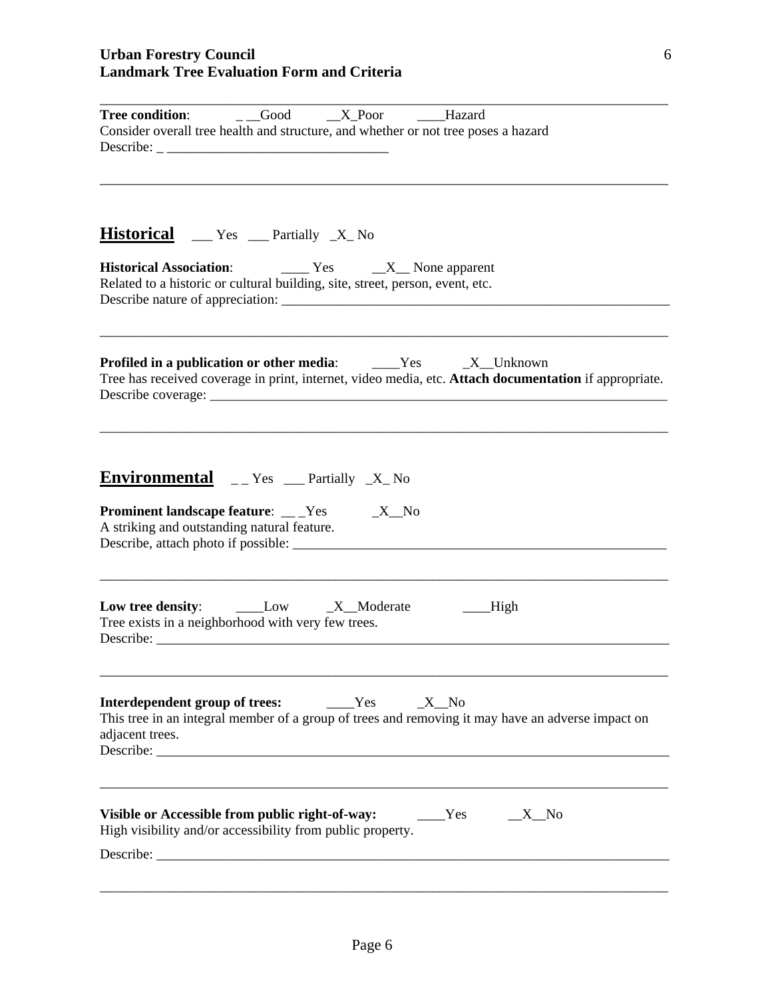| $\overline{\phantom{a}}$ _Good<br>$X_P$ oor<br><b>Tree condition:</b><br>Hazard<br>Consider overall tree health and structure, and whether or not tree poses a hazard<br>Describe: $\overline{\phantom{a}1}$ |
|--------------------------------------------------------------------------------------------------------------------------------------------------------------------------------------------------------------|
| <b>Historical</b> __ Yes __ Partially _X_ No                                                                                                                                                                 |
| $\frac{1}{1}$ Yes $\frac{1}{1}$ None apparent<br><b>Historical Association:</b><br>Related to a historic or cultural building, site, street, person, event, etc.                                             |
| <b>Profiled in a publication or other media:</b> ______Yes ______X__Unknown<br>Tree has received coverage in print, internet, video media, etc. Attach documentation if appropriate.                         |
| <b>Environmental</b> __Yes __Partially _X_No<br><b>Prominent landscape feature:</b> ___Yes _____X_No<br>A striking and outstanding natural feature.                                                          |
| __High<br>Tree exists in a neighborhood with very few trees.                                                                                                                                                 |
| Interdependent group of trees:<br>Yes<br>X No<br>This tree in an integral member of a group of trees and removing it may have an adverse impact on<br>adjacent trees.                                        |
| Visible or Accessible from public right-of-way:<br>Yes<br>$\_X$ <sup>No</sup><br>High visibility and/or accessibility from public property.                                                                  |

6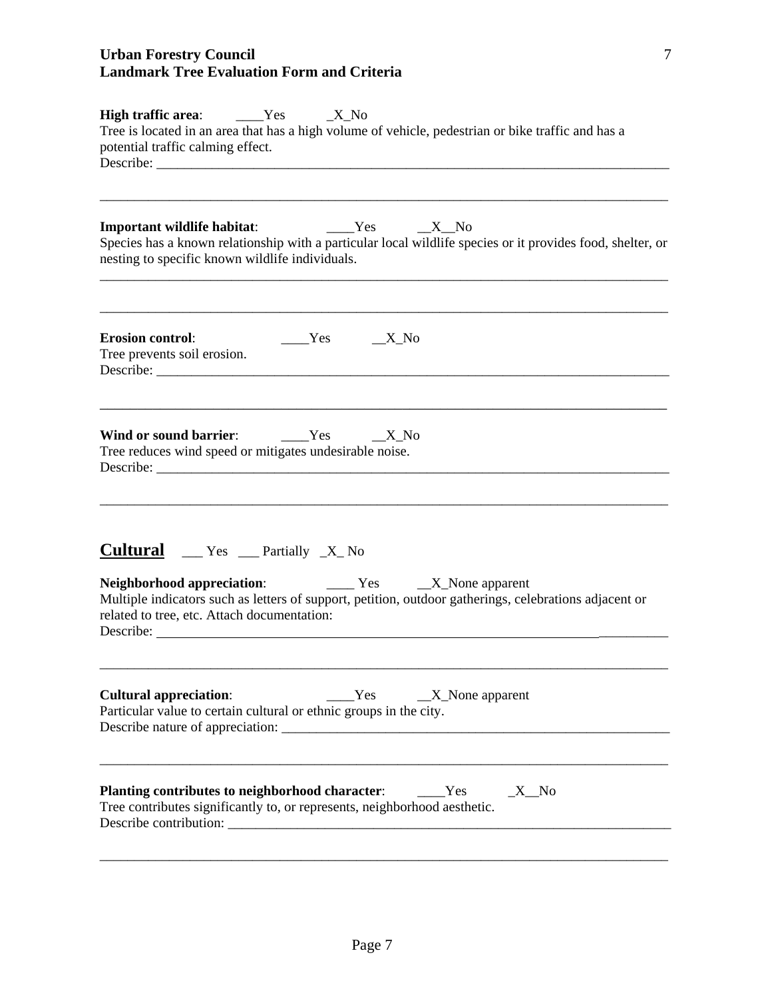| <b>High traffic area:</b> _____Yes<br>$\_X_N$<br>Tree is located in an area that has a high volume of vehicle, pedestrian or bike traffic and has a<br>potential traffic calming effect.                                                                                    |
|-----------------------------------------------------------------------------------------------------------------------------------------------------------------------------------------------------------------------------------------------------------------------------|
| $Yes$ X No<br><b>Important wildlife habitat:</b><br>Species has a known relationship with a particular local wildlife species or it provides food, shelter, or<br>nesting to specific known wildlife individuals.                                                           |
| <b>Erosion control:</b><br>$Yes$ $X_N$<br>Tree prevents soil erosion.                                                                                                                                                                                                       |
| Wind or sound barrier: _______Yes<br>$\_X_N$<br>Tree reduces wind speed or mitigates undesirable noise.                                                                                                                                                                     |
| <b>Cultural</b> __ Yes __ Partially _X_ No<br><b>Neighborhood appreciation:</b> Tes TEX_None apparent<br>Multiple indicators such as letters of support, petition, outdoor gatherings, celebrations adjacent or<br>related to tree, etc. Attach documentation:<br>Describe: |
| <b>Cultural appreciation:</b><br>Yes<br>$X$ None apparent<br>Particular value to certain cultural or ethnic groups in the city.<br>Describe nature of appreciation:                                                                                                         |
| Planting contributes to neighborhood character:<br>Yes<br>$X$ <sup>No</sup><br>Tree contributes significantly to, or represents, neighborhood aesthetic.<br>Describe contribution:                                                                                          |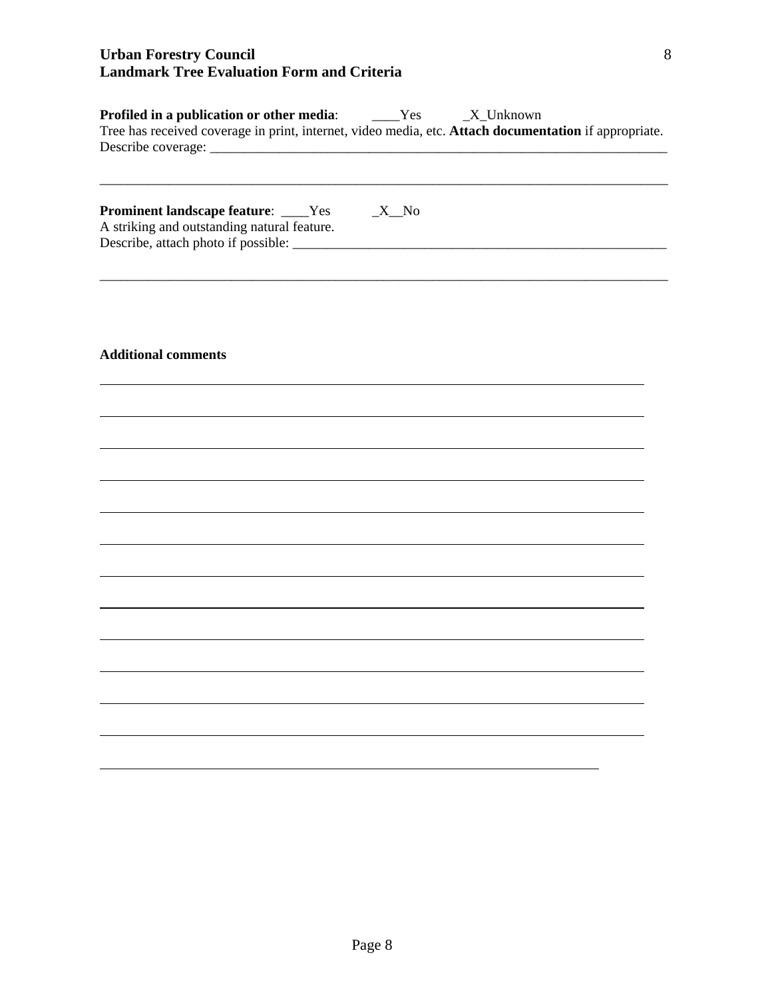| <b>Profiled in a publication or other media:</b> ______Yes<br>Tree has received coverage in print, internet, video media, etc. Attach documentation if appropriate. |          | $\_X$ _Unknown |  |
|---------------------------------------------------------------------------------------------------------------------------------------------------------------------|----------|----------------|--|
| <b>Prominent landscape feature:</b> ____Yes<br>A striking and outstanding natural feature.                                                                          | $\_X$ No |                |  |
| <b>Additional comments</b>                                                                                                                                          |          |                |  |
|                                                                                                                                                                     |          |                |  |
|                                                                                                                                                                     |          |                |  |
|                                                                                                                                                                     |          |                |  |
|                                                                                                                                                                     |          |                |  |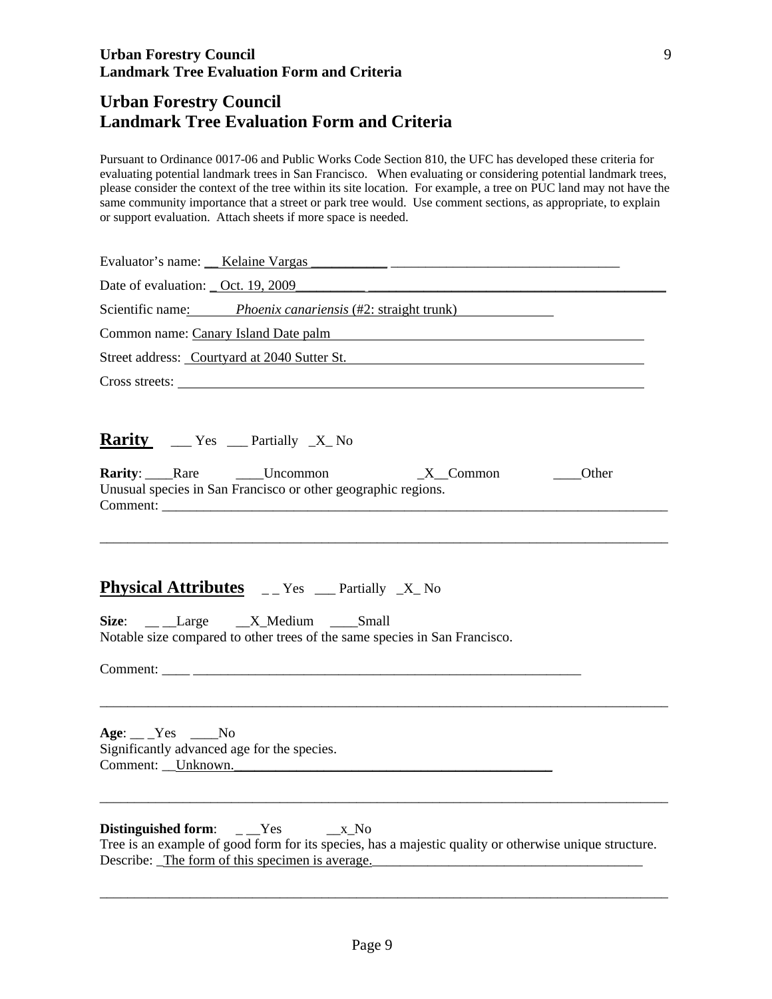## **Urban Forestry Council Landmark Tree Evaluation Form and Criteria**

Pursuant to Ordinance 0017-06 and Public Works Code Section 810, the UFC has developed these criteria for evaluating potential landmark trees in San Francisco. When evaluating or considering potential landmark trees, please consider the context of the tree within its site location. For example, a tree on PUC land may not have the same community importance that a street or park tree would. Use comment sections, as appropriate, to explain or support evaluation. Attach sheets if more space is needed.

| Date of evaluation: _ Oct. 19, 2009                                                                                                                                                                       |
|-----------------------------------------------------------------------------------------------------------------------------------------------------------------------------------------------------------|
| Scientific name: Phoenix canariensis (#2: straight trunk)                                                                                                                                                 |
| Common name: Canary Island Date palm                                                                                                                                                                      |
| Street address: Courtyard at 2040 Sutter St.                                                                                                                                                              |
| Cross streets:                                                                                                                                                                                            |
| <b>Rarity</b> $\text{Yes}$ Partially $\text{X}$ No                                                                                                                                                        |
| <b>Rarity</b> : Rare _____Uncommon<br>$X$ <sub></sub> Common<br>Other<br>Unusual species in San Francisco or other geographic regions.                                                                    |
|                                                                                                                                                                                                           |
| <b>Physical Attributes</b> __Yes __Partially _X_No                                                                                                                                                        |
| Size: __ Large __ X_Medium ___ Small<br>Notable size compared to other trees of the same species in San Francisco.                                                                                        |
|                                                                                                                                                                                                           |
| $Age:$ Yes No<br>Significantly advanced age for the species.<br>Comment: Unknown.                                                                                                                         |
| Distinguished form: $_{--}$ Yes $_{--}$ x_No<br>Tree is an example of good form for its species, has a majestic quality or otherwise unique structure.<br>Describe: The form of this specimen is average. |

\_\_\_\_\_\_\_\_\_\_\_\_\_\_\_\_\_\_\_\_\_\_\_\_\_\_\_\_\_\_\_\_\_\_\_\_\_\_\_\_\_\_\_\_\_\_\_\_\_\_\_\_\_\_\_\_\_\_\_\_\_\_\_\_\_\_\_\_\_\_\_\_\_\_\_\_\_\_\_\_\_\_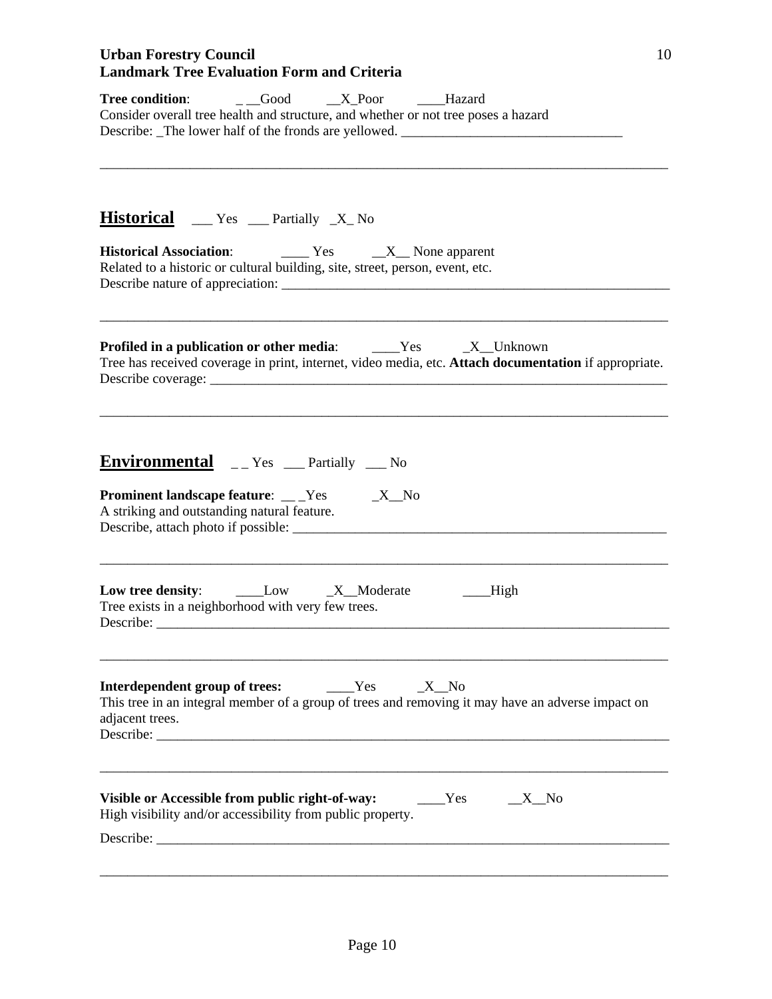| Consider overall tree health and structure, and whether or not tree poses a hazard<br>Describe: The lower half of the fronds are yellowed. ____________________________ |
|-------------------------------------------------------------------------------------------------------------------------------------------------------------------------|
| <b>Historical</b> ___ Yes ___ Partially _X_ No                                                                                                                          |
| Related to a historic or cultural building, site, street, person, event, etc.                                                                                           |
| <b>Profiled in a publication or other media:</b> Yes X_Unknown<br>Tree has received coverage in print, internet, video media, etc. Attach documentation if appropriate. |
| Environmental __ Yes __ Partially __ No<br><b>Prominent landscape feature:</b> __Yes _____X_No<br>A striking and outstanding natural feature.                           |
| Low _X_Moderate<br>Low tree density:<br>__High                                                                                                                          |
| Tree exists in a neighborhood with very few trees.                                                                                                                      |
| Interdependent group of trees:<br>Yes<br>X No<br>This tree in an integral member of a group of trees and removing it may have an adverse impact on<br>adjacent trees.   |
| Visible or Accessible from public right-of-way:<br>Yes<br>$\_X$ No<br>High visibility and/or accessibility from public property.                                        |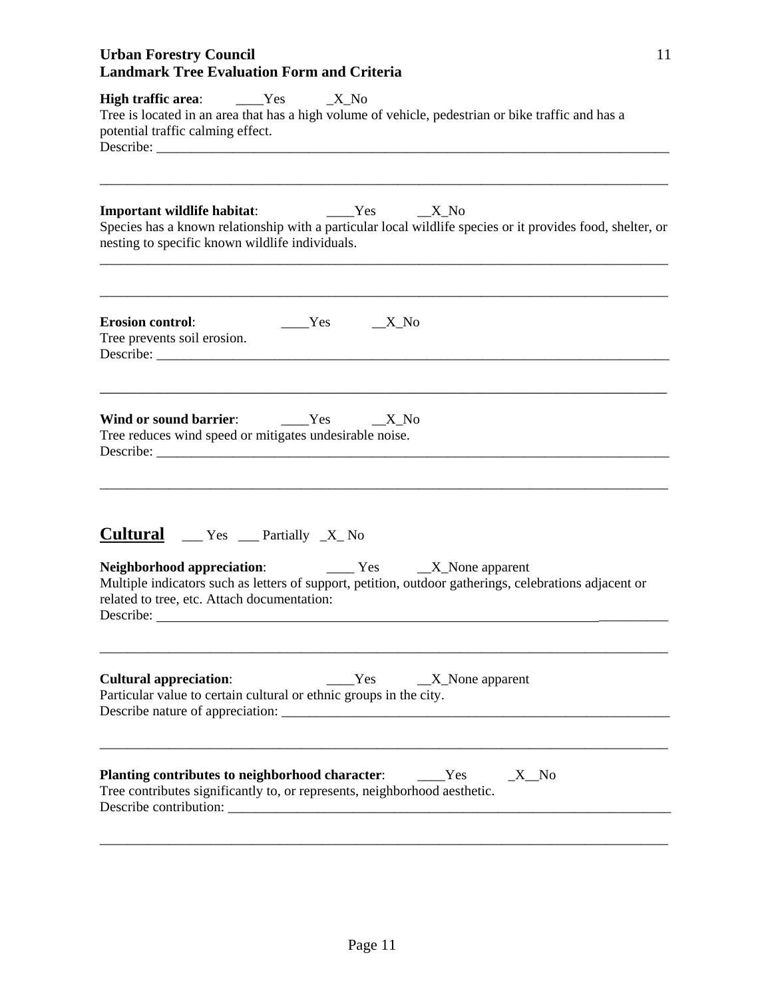| High traffic area: ______Yes ______X_No<br>Tree is located in an area that has a high volume of vehicle, pedestrian or bike traffic and has a<br>potential traffic calming effect.                                         |
|----------------------------------------------------------------------------------------------------------------------------------------------------------------------------------------------------------------------------|
| <b>Important wildlife habitat:</b> ________Yes ______X_No<br>Species has a known relationship with a particular local wildlife species or it provides food, shelter, or<br>nesting to specific known wildlife individuals. |
| $Yes$ X_No<br><b>Erosion control:</b><br>Tree prevents soil erosion.                                                                                                                                                       |
| Wind or sound barrier: _______Yes ______X_No<br>Tree reduces wind speed or mitigates undesirable noise.                                                                                                                    |
| <b>Cultural</b> $\qquad$ Yes $\qquad$ Partially $\mathbf{X}$ No                                                                                                                                                            |
| Multiple indicators such as letters of support, petition, outdoor gatherings, celebrations adjacent or<br>related to tree, etc. Attach documentation:                                                                      |
| <b>Cultural appreciation:</b><br>$Yes$ $X_None$ apparent<br>Particular value to certain cultural or ethnic groups in the city.                                                                                             |
| Planting contributes to neighborhood character:<br>Yes<br>$\_X$ No<br>Tree contributes significantly to, or represents, neighborhood aesthetic.                                                                            |